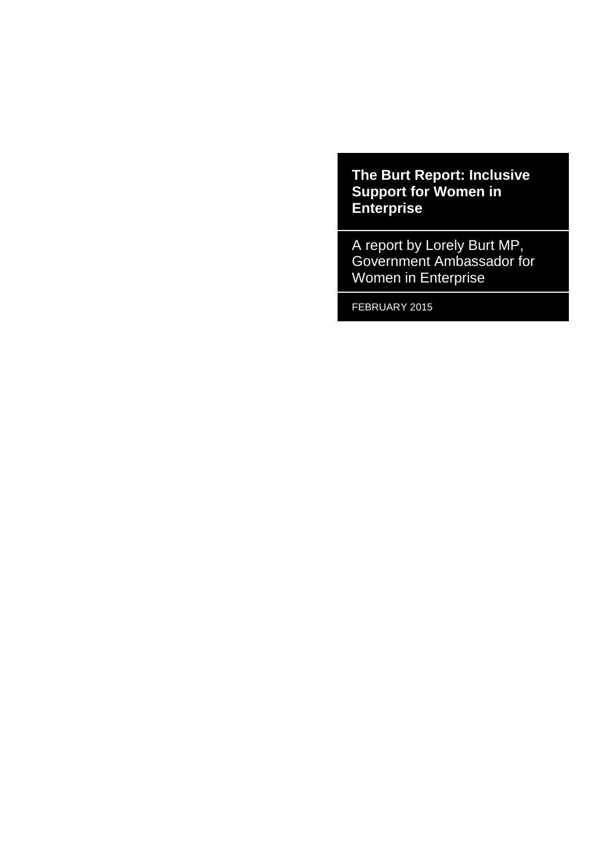**The Burt Report: Inclusive Support for Women in Enterprise**

A report by Lorely Burt MP, Government Ambassador for Women in Enterprise

FEBRUARY 2015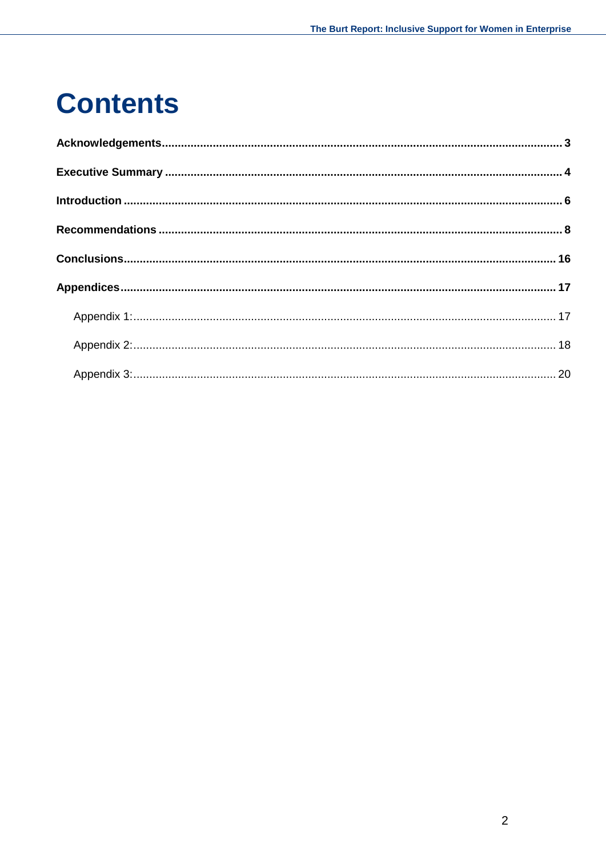### **Contents**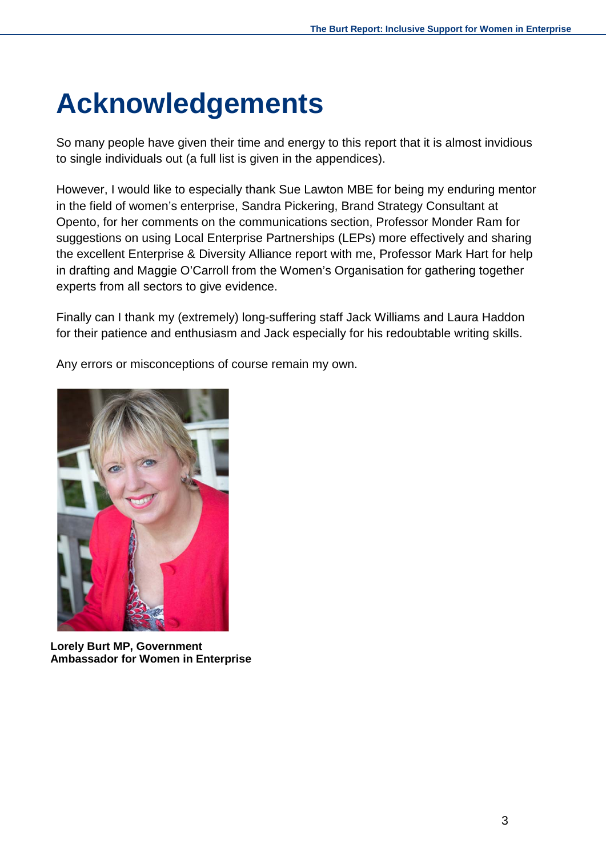# <span id="page-2-0"></span>**Acknowledgements**

So many people have given their time and energy to this report that it is almost invidious to single individuals out (a full list is given in the appendices).

However, I would like to especially thank Sue Lawton MBE for being my enduring mentor in the field of women's enterprise, Sandra Pickering, Brand Strategy Consultant at Opento, for her comments on the communications section, Professor Monder Ram for suggestions on using Local Enterprise Partnerships (LEPs) more effectively and sharing the excellent Enterprise & Diversity Alliance report with me, Professor Mark Hart for help in drafting and Maggie O'Carroll from the Women's Organisation for gathering together experts from all sectors to give evidence.

Finally can I thank my (extremely) long-suffering staff Jack Williams and Laura Haddon for their patience and enthusiasm and Jack especially for his redoubtable writing skills.

Any errors or misconceptions of course remain my own.



**Lorely Burt MP, Government Ambassador for Women in Enterprise**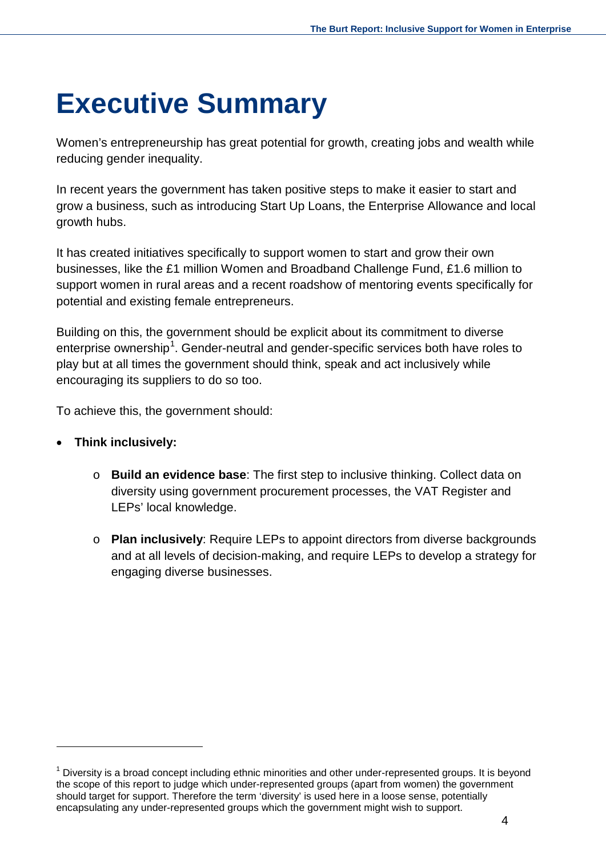### <span id="page-3-0"></span>**Executive Summary**

Women's entrepreneurship has great potential for growth, creating jobs and wealth while reducing gender inequality.

In recent years the government has taken positive steps to make it easier to start and grow a business, such as introducing Start Up Loans, the Enterprise Allowance and local growth hubs.

It has created initiatives specifically to support women to start and grow their own businesses, like the £1 million Women and Broadband Challenge Fund, £1.6 million to support women in rural areas and a recent roadshow of mentoring events specifically for potential and existing female entrepreneurs.

Building on this, the government should be explicit about its commitment to diverse enterprise ownership<sup>[1](#page-3-1)</sup>. Gender-neutral and gender-specific services both have roles to play but at all times the government should think, speak and act inclusively while encouraging its suppliers to do so too.

To achieve this, the government should:

- **Think inclusively:**
	- o **Build an evidence base**: The first step to inclusive thinking. Collect data on diversity using government procurement processes, the VAT Register and LEPs' local knowledge.
	- o **Plan inclusively**: Require LEPs to appoint directors from diverse backgrounds and at all levels of decision-making, and require LEPs to develop a strategy for engaging diverse businesses.

<span id="page-3-1"></span> $1$  Diversity is a broad concept including ethnic minorities and other under-represented groups. It is beyond the scope of this report to judge which under-represented groups (apart from women) the government should target for support. Therefore the term 'diversity' is used here in a loose sense, potentially encapsulating any under-represented groups which the government might wish to support.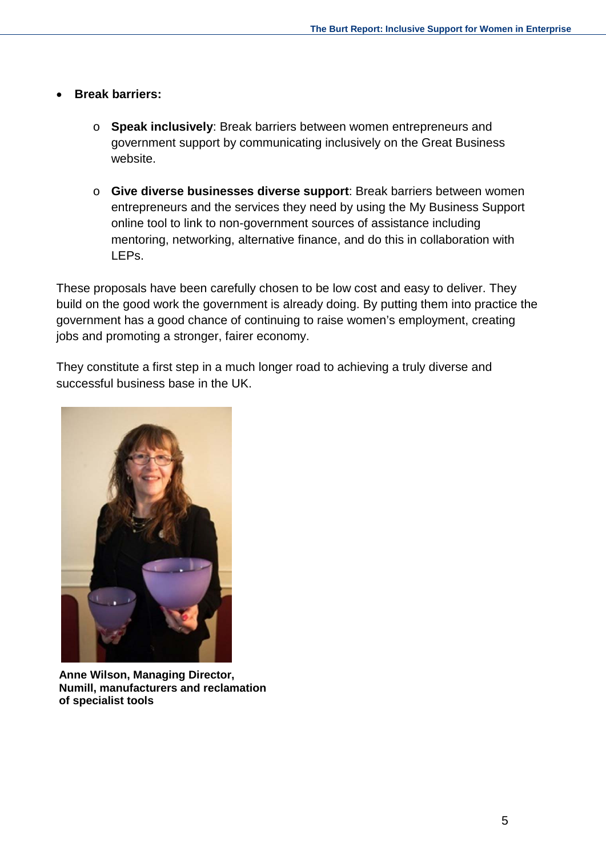- **Break barriers:**
	- o **Speak inclusively**: Break barriers between women entrepreneurs and government support by communicating inclusively on the Great Business website.
	- o **Give diverse businesses diverse support**: Break barriers between women entrepreneurs and the services they need by using the My Business Support online tool to link to non-government sources of assistance including mentoring, networking, alternative finance, and do this in collaboration with LEPs.

These proposals have been carefully chosen to be low cost and easy to deliver. They build on the good work the government is already doing. By putting them into practice the government has a good chance of continuing to raise women's employment, creating jobs and promoting a stronger, fairer economy.

They constitute a first step in a much longer road to achieving a truly diverse and successful business base in the UK.



**Anne Wilson, Managing Director, Numill, manufacturers and reclamation of specialist tools**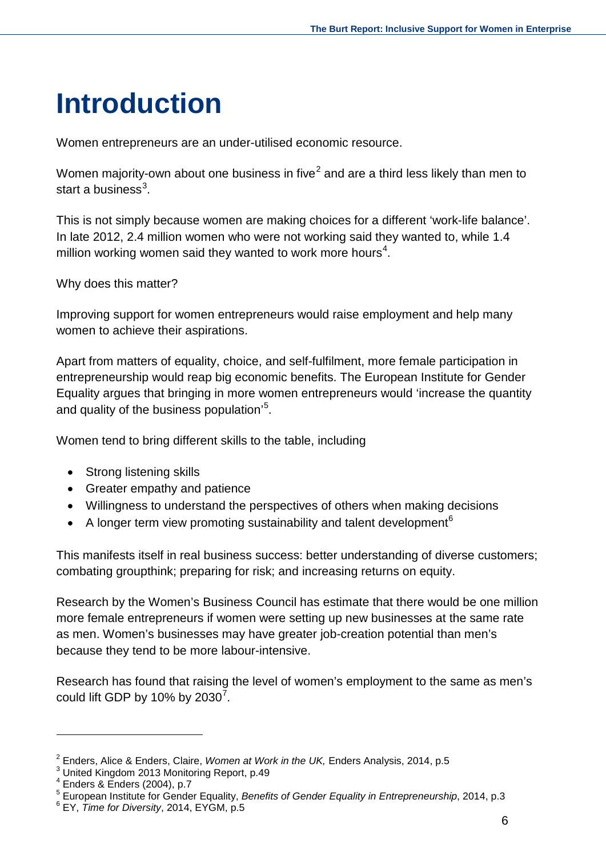# <span id="page-5-0"></span>**Introduction**

Women entrepreneurs are an under-utilised economic resource.

Women majority-own about one business in five<sup>[2](#page-5-1)</sup> and are a third less likely than men to start a business $^3$  $^3$ .

This is not simply because women are making choices for a different 'work-life balance'. In late 2012, 2.4 million women who were not working said they wanted to, while 1.4 million working women said they wanted to work more hours<sup>[4](#page-5-3)</sup>.

Why does this matter?

Improving support for women entrepreneurs would raise employment and help many women to achieve their aspirations.

Apart from matters of equality, choice, and self-fulfilment, more female participation in entrepreneurship would reap big economic benefits. The European Institute for Gender Equality argues that bringing in more women entrepreneurs would 'increase the quantity and quality of the business population'<sup>[5](#page-5-4)</sup>.

Women tend to bring different skills to the table, including

- Strong listening skills
- Greater empathy and patience
- Willingness to understand the perspectives of others when making decisions
- A longer term view promoting sustainability and talent development<sup>[6](#page-5-5)</sup>

This manifests itself in real business success: better understanding of diverse customers; combating groupthink; preparing for risk; and increasing returns on equity.

Research by the Women's Business Council has estimate that there would be one million more female entrepreneurs if women were setting up new businesses at the same rate as men. Women's businesses may have greater job-creation potential than men's because they tend to be more labour-intensive.

Research has found that raising the level of women's employment to the same as men's could lift GDP by 10% by 2030<sup>[7](#page-5-6)</sup>.

<span id="page-5-1"></span><sup>&</sup>lt;sup>2</sup> Enders, Alice & Enders, Claire, *Women at Work in the UK,* Enders Analysis, 2014, p.5<br><sup>3</sup> United Kingdom 2013 Monitoring Report, p.49<br><sup>4</sup> Enders & Enders (2004), p.7

<span id="page-5-2"></span>

<span id="page-5-6"></span><span id="page-5-4"></span><span id="page-5-3"></span><sup>&</sup>lt;sup>5</sup> European Institute for Gender Equality, *Benefits of Gender Equality in Entrepreneurship*, 2014, p.3 <sup>6</sup> EY, *Time for Diversity*, 2014, EYGM, p.5

<span id="page-5-5"></span>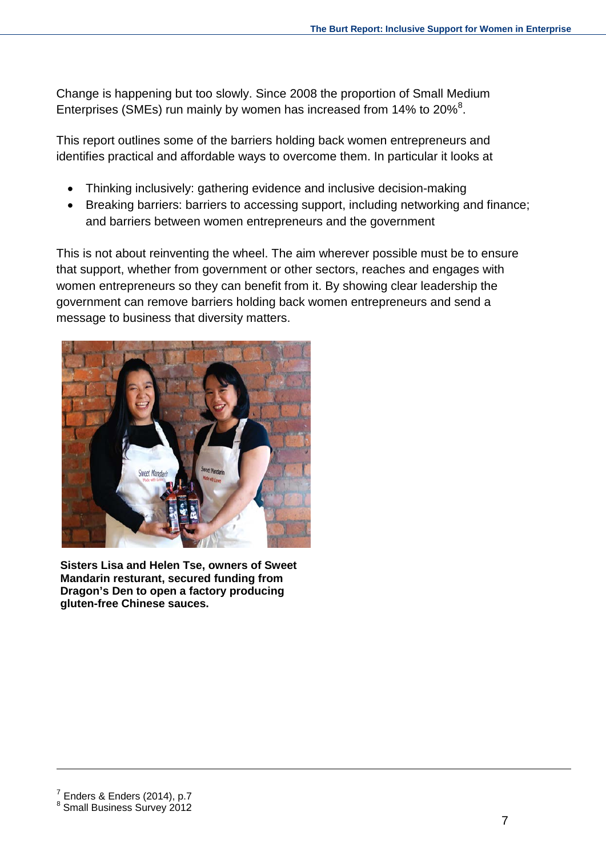Change is happening but too slowly. Since 2008 the proportion of Small Medium Enterprises (SMEs) run mainly by women has increased from 14% to 20% $^8$  $^8$ .

This report outlines some of the barriers holding back women entrepreneurs and identifies practical and affordable ways to overcome them. In particular it looks at

- Thinking inclusively: gathering evidence and inclusive decision-making
- Breaking barriers: barriers to accessing support, including networking and finance; and barriers between women entrepreneurs and the government

This is not about reinventing the wheel. The aim wherever possible must be to ensure that support, whether from government or other sectors, reaches and engages with women entrepreneurs so they can benefit from it. By showing clear leadership the government can remove barriers holding back women entrepreneurs and send a message to business that diversity matters.



<span id="page-6-0"></span>**Sisters Lisa and Helen Tse, owners of Sweet Mandarin resturant, secured funding from Dragon's Den to open a factory producing gluten-free Chinese sauces.**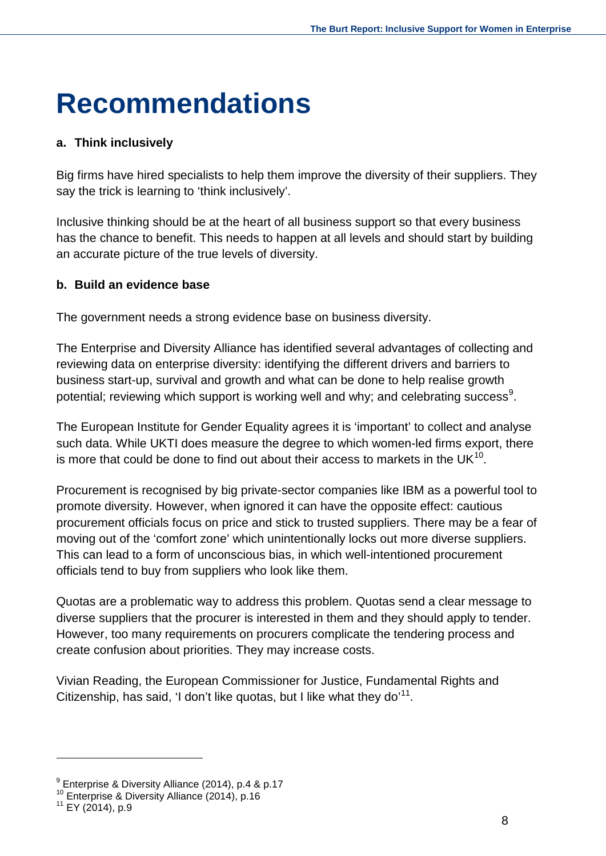### <span id="page-7-0"></span>**Recommendations**

#### **a. Think inclusively**

Big firms have hired specialists to help them improve the diversity of their suppliers. They say the trick is learning to 'think inclusively'.

Inclusive thinking should be at the heart of all business support so that every business has the chance to benefit. This needs to happen at all levels and should start by building an accurate picture of the true levels of diversity.

#### **b. Build an evidence base**

The government needs a strong evidence base on business diversity.

The Enterprise and Diversity Alliance has identified several advantages of collecting and reviewing data on enterprise diversity: identifying the different drivers and barriers to business start-up, survival and growth and what can be done to help realise growth potential; reviewing which support is working well and why; and celebrating success<sup>[9](#page-7-1)</sup>.

The European Institute for Gender Equality agrees it is 'important' to collect and analyse such data. While UKTI does measure the degree to which women-led firms export, there is more that could be done to find out about their access to markets in the UK $^{10}$ .

Procurement is recognised by big private-sector companies like IBM as a powerful tool to promote diversity. However, when ignored it can have the opposite effect: cautious procurement officials focus on price and stick to trusted suppliers. There may be a fear of moving out of the 'comfort zone' which unintentionally locks out more diverse suppliers. This can lead to a form of unconscious bias, in which well-intentioned procurement officials tend to buy from suppliers who look like them.

Quotas are a problematic way to address this problem. Quotas send a clear message to diverse suppliers that the procurer is interested in them and they should apply to tender. However, too many requirements on procurers complicate the tendering process and create confusion about priorities. They may increase costs.

Vivian Reading, the European Commissioner for Justice, Fundamental Rights and Citizenship, has said, 'I don't like quotas, but I like what they do'<sup>11</sup>.

<span id="page-7-1"></span><sup>&</sup>lt;sup>9</sup> Enterprise & Diversity Alliance (2014), p.4 & p.17<br><sup>10</sup> Enterprise & Diversity Alliance (2014), p.16<br><sup>11</sup> EY (2014), p.9

<span id="page-7-2"></span>

<span id="page-7-3"></span>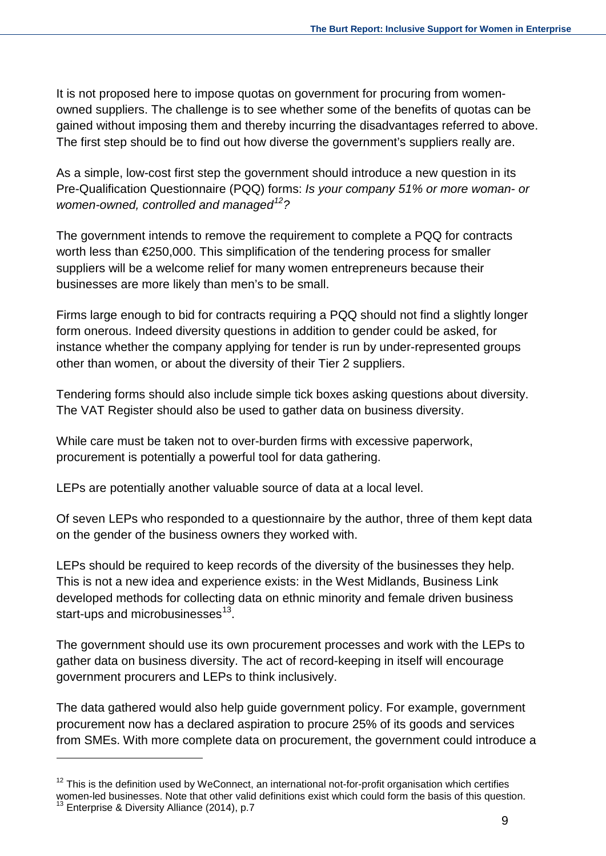It is not proposed here to impose quotas on government for procuring from womenowned suppliers. The challenge is to see whether some of the benefits of quotas can be gained without imposing them and thereby incurring the disadvantages referred to above. The first step should be to find out how diverse the government's suppliers really are.

As a simple, low-cost first step the government should introduce a new question in its Pre-Qualification Questionnaire (PQQ) forms: *Is your company 51% or more woman- or women-owned, controlled and managed[12](#page-8-0)?*

The government intends to remove the requirement to complete a PQQ for contracts worth less than [€2](http://en.wikipedia.org/wiki/Euro_sign)50,000. This simplification of the tendering process for smaller suppliers will be a welcome relief for many women entrepreneurs because their businesses are more likely than men's to be small.

Firms large enough to bid for contracts requiring a PQQ should not find a slightly longer form onerous. Indeed diversity questions in addition to gender could be asked, for instance whether the company applying for tender is run by under-represented groups other than women, or about the diversity of their Tier 2 suppliers.

Tendering forms should also include simple tick boxes asking questions about diversity. The VAT Register should also be used to gather data on business diversity.

While care must be taken not to over-burden firms with excessive paperwork, procurement is potentially a powerful tool for data gathering.

LEPs are potentially another valuable source of data at a local level.

Of seven LEPs who responded to a questionnaire by the author, three of them kept data on the gender of the business owners they worked with.

LEPs should be required to keep records of the diversity of the businesses they help. This is not a new idea and experience exists: in the West Midlands, Business Link developed methods for collecting data on ethnic minority and female driven business start-ups and microbusinesses $^{13}$  $^{13}$  $^{13}$ .

The government should use its own procurement processes and work with the LEPs to gather data on business diversity. The act of record-keeping in itself will encourage government procurers and LEPs to think inclusively.

The data gathered would also help guide government policy. For example, government procurement now has a declared aspiration to procure 25% of its goods and services from SMEs. With more complete data on procurement, the government could introduce a

<span id="page-8-1"></span><span id="page-8-0"></span> $12$  This is the definition used by WeConnect, an international not-for-profit organisation which certifies women-led businesses. Note that other valid definitions exist which could form the basis of this question.<br><sup>13</sup> Enterprise & Diversity Alliance (2014), p.7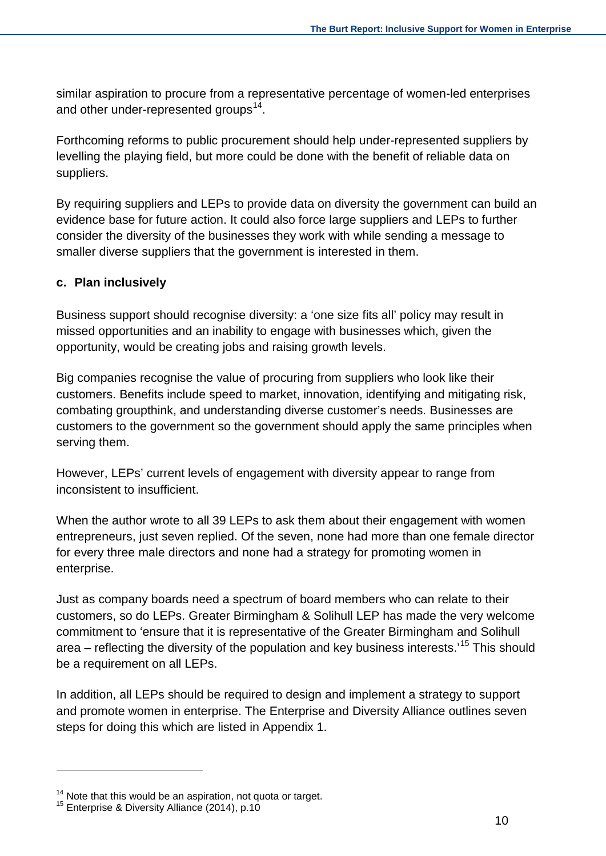similar aspiration to procure from a representative percentage of women-led enterprises and other under-represented groups<sup>14</sup>.

Forthcoming reforms to public procurement should help under-represented suppliers by levelling the playing field, but more could be done with the benefit of reliable data on suppliers.

By requiring suppliers and LEPs to provide data on diversity the government can build an evidence base for future action. It could also force large suppliers and LEPs to further consider the diversity of the businesses they work with while sending a message to smaller diverse suppliers that the government is interested in them.

#### **c. Plan inclusively**

Business support should recognise diversity: a 'one size fits all' policy may result in missed opportunities and an inability to engage with businesses which, given the opportunity, would be creating jobs and raising growth levels.

Big companies recognise the value of procuring from suppliers who look like their customers. Benefits include speed to market, innovation, identifying and mitigating risk, combating groupthink, and understanding diverse customer's needs. Businesses are customers to the government so the government should apply the same principles when serving them.

However, LEPs' current levels of engagement with diversity appear to range from inconsistent to insufficient.

When the author wrote to all 39 LEPs to ask them about their engagement with women entrepreneurs, just seven replied. Of the seven, none had more than one female director for every three male directors and none had a strategy for promoting women in enterprise.

Just as company boards need a spectrum of board members who can relate to their customers, so do LEPs. Greater Birmingham & Solihull LEP has made the very welcome commitment to 'ensure that it is representative of the Greater Birmingham and Solihull area – reflecting the diversity of the population and key business interests.<sup>[15](#page-9-1)</sup> This should be a requirement on all LEPs.

In addition, all LEPs should be required to design and implement a strategy to support and promote women in enterprise. The Enterprise and Diversity Alliance outlines seven steps for doing this which are listed in Appendix 1.

<span id="page-9-0"></span><sup>&</sup>lt;sup>14</sup> Note that this would be an aspiration, not quota or target.<br><sup>15</sup> Enterprise & Diversity Alliance (2014), p.10

<span id="page-9-1"></span>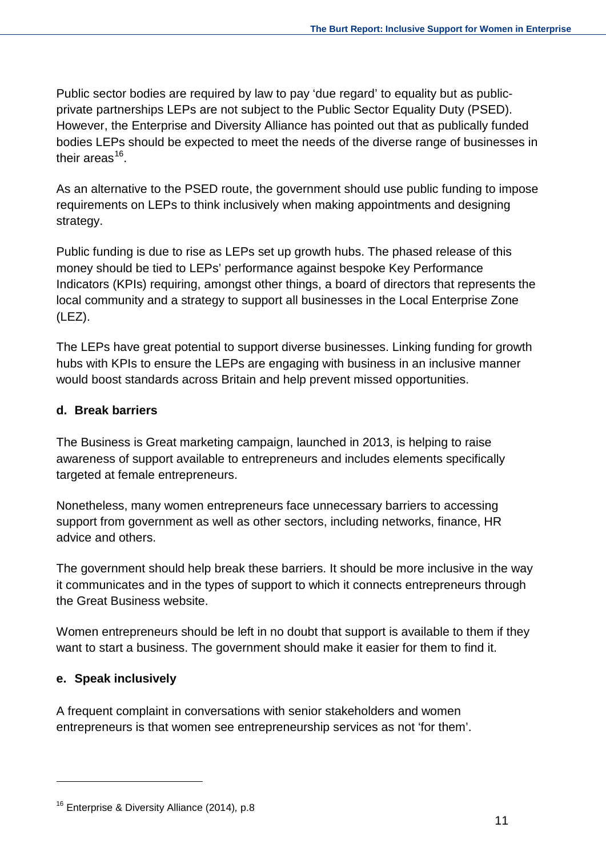Public sector bodies are required by law to pay 'due regard' to equality but as publicprivate partnerships LEPs are not subject to the Public Sector Equality Duty (PSED). However, the Enterprise and Diversity Alliance has pointed out that as publically funded bodies LEPs should be expected to meet the needs of the diverse range of businesses in their areas $16$ .

As an alternative to the PSED route, the government should use public funding to impose requirements on LEPs to think inclusively when making appointments and designing strategy.

Public funding is due to rise as LEPs set up growth hubs. The phased release of this money should be tied to LEPs' performance against bespoke Key Performance Indicators (KPIs) requiring, amongst other things, a board of directors that represents the local community and a strategy to support all businesses in the Local Enterprise Zone (LEZ).

The LEPs have great potential to support diverse businesses. Linking funding for growth hubs with KPIs to ensure the LEPs are engaging with business in an inclusive manner would boost standards across Britain and help prevent missed opportunities.

#### **d. Break barriers**

The Business is Great marketing campaign, launched in 2013, is helping to raise awareness of support available to entrepreneurs and includes elements specifically targeted at female entrepreneurs.

Nonetheless, many women entrepreneurs face unnecessary barriers to accessing support from government as well as other sectors, including networks, finance, HR advice and others.

The government should help break these barriers. It should be more inclusive in the way it communicates and in the types of support to which it connects entrepreneurs through the Great Business website.

Women entrepreneurs should be left in no doubt that support is available to them if they want to start a business. The government should make it easier for them to find it.

#### **e. Speak inclusively**

A frequent complaint in conversations with senior stakeholders and women entrepreneurs is that women see entrepreneurship services as not 'for them'.

<span id="page-10-0"></span><sup>16</sup> Enterprise & Diversity Alliance (2014)*,* p.8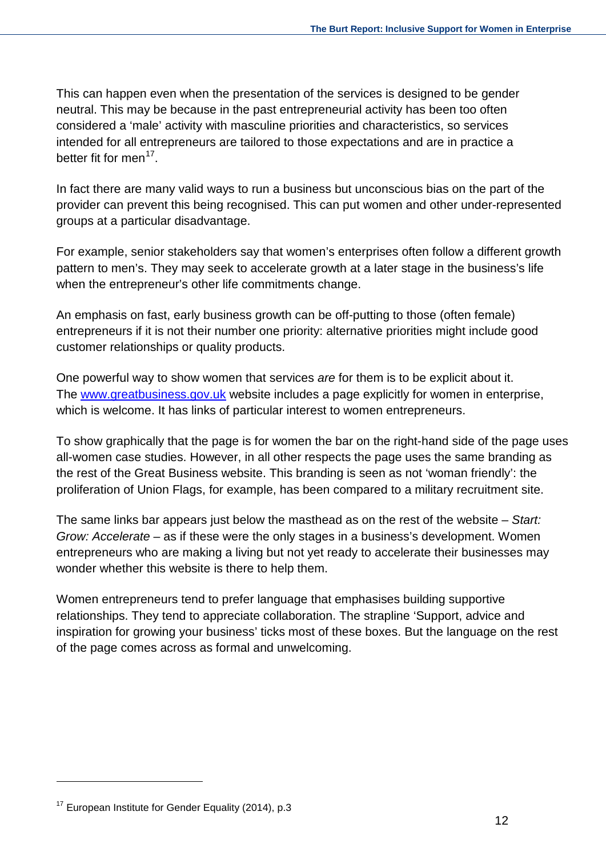This can happen even when the presentation of the services is designed to be gender neutral. This may be because in the past entrepreneurial activity has been too often considered a 'male' activity with masculine priorities and characteristics, so services intended for all entrepreneurs are tailored to those expectations and are in practice a better fit for men<sup>[17](#page-11-0)</sup>.

In fact there are many valid ways to run a business but unconscious bias on the part of the provider can prevent this being recognised. This can put women and other under-represented groups at a particular disadvantage.

For example, senior stakeholders say that women's enterprises often follow a different growth pattern to men's. They may seek to accelerate growth at a later stage in the business's life when the entrepreneur's other life commitments change.

An emphasis on fast, early business growth can be off-putting to those (often female) entrepreneurs if it is not their number one priority: alternative priorities might include good customer relationships or quality products.

One powerful way to show women that services *are* for them is to be explicit about it. The www.greatbusiness.gov.uk website includes a page explicitly for women in enterprise, which is welcome. It has links of particular interest to women entrepreneurs.

To show graphically that the page is for women the bar on the right-hand side of the page uses all-women case studies. However, in all other respects the page uses the same branding as the rest of the Great Business website. This branding is seen as not 'woman friendly': the proliferation of Union Flags, for example, has been compared to a military recruitment site.

The same links bar appears just below the masthead as on the rest of the website – *Start: Grow: Accelerate* – as if these were the only stages in a business's development. Women entrepreneurs who are making a living but not yet ready to accelerate their businesses may wonder whether this website is there to help them.

Women entrepreneurs tend to prefer language that emphasises building supportive relationships. They tend to appreciate collaboration. The strapline 'Support, advice and inspiration for growing your business' ticks most of these boxes. But the language on the rest of the page comes across as formal and unwelcoming.

<span id="page-11-0"></span> $17$  European Institute for Gender Equality (2014), p.3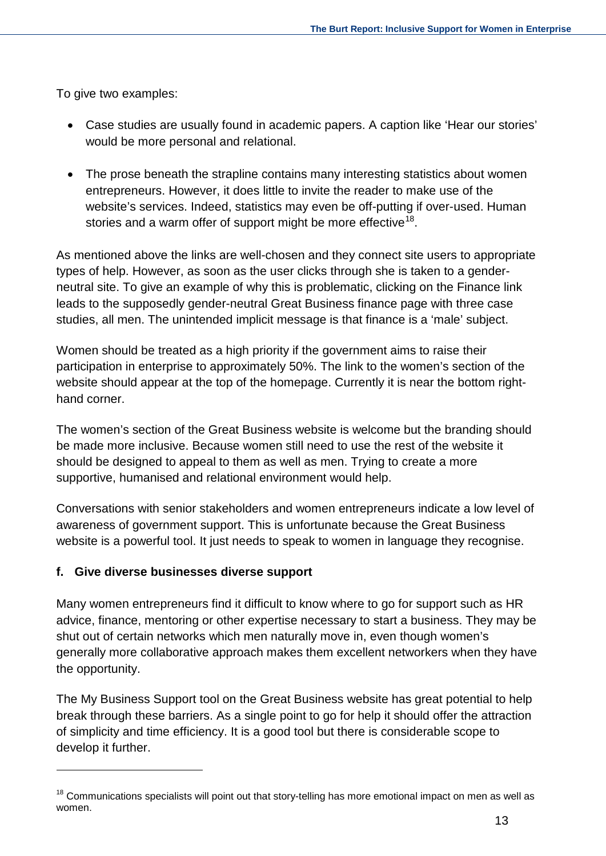To give two examples:

- Case studies are usually found in academic papers. A caption like 'Hear our stories' would be more personal and relational.
- The prose beneath the strapline contains many interesting statistics about women entrepreneurs. However, it does little to invite the reader to make use of the website's services. Indeed, statistics may even be off-putting if over-used. Human stories and a warm offer of support might be more effective<sup>[18](#page-12-0)</sup>.

As mentioned above the links are well-chosen and they connect site users to appropriate types of help. However, as soon as the user clicks through she is taken to a genderneutral site. To give an example of why this is problematic, clicking on the Finance link leads to the supposedly gender-neutral Great Business finance page with three case studies, all men. The unintended implicit message is that finance is a 'male' subject.

Women should be treated as a high priority if the government aims to raise their participation in enterprise to approximately 50%. The link to the women's section of the website should appear at the top of the homepage. Currently it is near the bottom righthand corner.

The women's section of the Great Business website is welcome but the branding should be made more inclusive. Because women still need to use the rest of the website it should be designed to appeal to them as well as men. Trying to create a more supportive, humanised and relational environment would help.

Conversations with senior stakeholders and women entrepreneurs indicate a low level of awareness of government support. This is unfortunate because the Great Business website is a powerful tool. It just needs to speak to women in language they recognise.

#### **f. Give diverse businesses diverse support**

Many women entrepreneurs find it difficult to know where to go for support such as HR advice, finance, mentoring or other expertise necessary to start a business. They may be shut out of certain networks which men naturally move in, even though women's generally more collaborative approach makes them excellent networkers when they have the opportunity.

The My Business Support tool on the Great Business website has great potential to help break through these barriers. As a single point to go for help it should offer the attraction of simplicity and time efficiency. It is a good tool but there is considerable scope to develop it further.

<span id="page-12-0"></span><sup>&</sup>lt;sup>18</sup> Communications specialists will point out that story-telling has more emotional impact on men as well as women.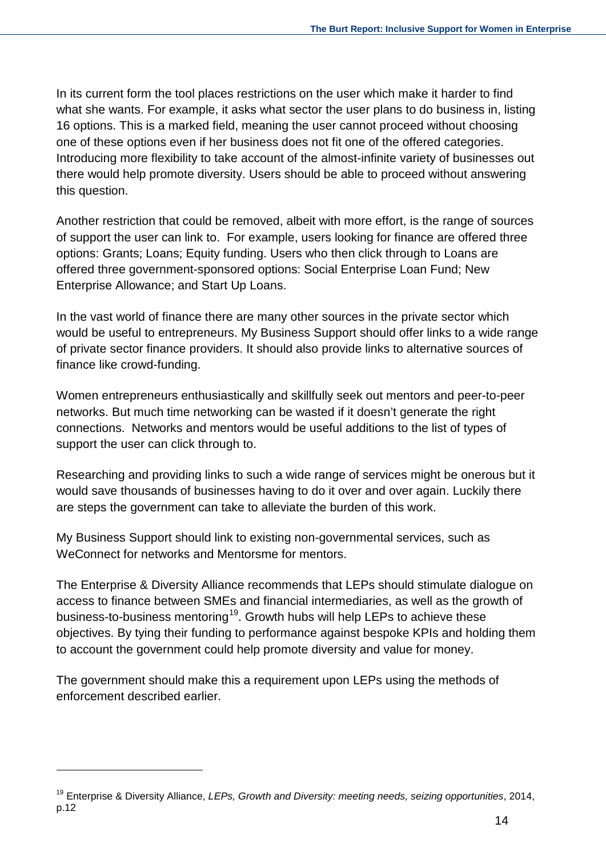In its current form the tool places restrictions on the user which make it harder to find what she wants. For example, it asks what sector the user plans to do business in, listing 16 options. This is a marked field, meaning the user cannot proceed without choosing one of these options even if her business does not fit one of the offered categories. Introducing more flexibility to take account of the almost-infinite variety of businesses out there would help promote diversity. Users should be able to proceed without answering this question.

Another restriction that could be removed, albeit with more effort, is the range of sources of support the user can link to. For example, users looking for finance are offered three options: Grants; Loans; Equity funding. Users who then click through to Loans are offered three government-sponsored options: Social Enterprise Loan Fund; New Enterprise Allowance; and Start Up Loans.

In the vast world of finance there are many other sources in the private sector which would be useful to entrepreneurs. My Business Support should offer links to a wide range of private sector finance providers. It should also provide links to alternative sources of finance like crowd-funding.

Women entrepreneurs enthusiastically and skillfully seek out mentors and peer-to-peer networks. But much time networking can be wasted if it doesn't generate the right connections. Networks and mentors would be useful additions to the list of types of support the user can click through to.

Researching and providing links to such a wide range of services might be onerous but it would save thousands of businesses having to do it over and over again. Luckily there are steps the government can take to alleviate the burden of this work.

My Business Support should link to existing non-governmental services, such as WeConnect for networks and Mentorsme for mentors.

The Enterprise & Diversity Alliance recommends that LEPs should stimulate dialogue on access to finance between SMEs and financial intermediaries, as well as the growth of business-to-business mentoring<sup>[19](#page-13-0)</sup>. Growth hubs will help LEPs to achieve these objectives. By tying their funding to performance against bespoke KPIs and holding them to account the government could help promote diversity and value for money.

The government should make this a requirement upon LEPs using the methods of enforcement described earlier.

 $\overline{a}$ 

<span id="page-13-0"></span><sup>19</sup> Enterprise & Diversity Alliance, *LEPs, Growth and Diversity: meeting needs, seizing opportunities*, 2014, p.12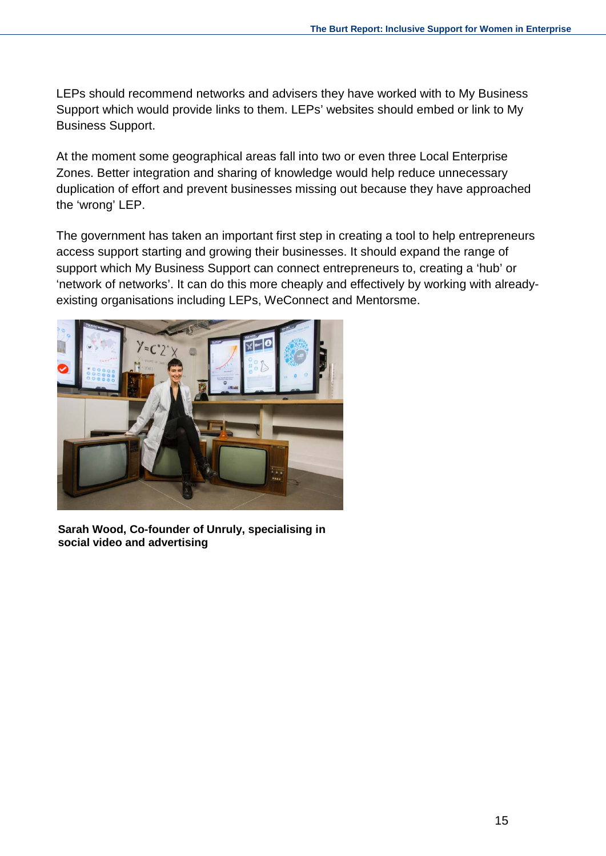LEPs should recommend networks and advisers they have worked with to My Business Support which would provide links to them. LEPs' websites should embed or link to My Business Support.

At the moment some geographical areas fall into two or even three Local Enterprise Zones. Better integration and sharing of knowledge would help reduce unnecessary duplication of effort and prevent businesses missing out because they have approached the 'wrong' LEP.

The government has taken an important first step in creating a tool to help entrepreneurs access support starting and growing their businesses. It should expand the range of support which My Business Support can connect entrepreneurs to, creating a 'hub' or 'network of networks'. It can do this more cheaply and effectively by working with alreadyexisting organisations including LEPs, WeConnect and Mentorsme.



**Sarah Wood, Co-founder of Unruly, specialising in social video and advertising**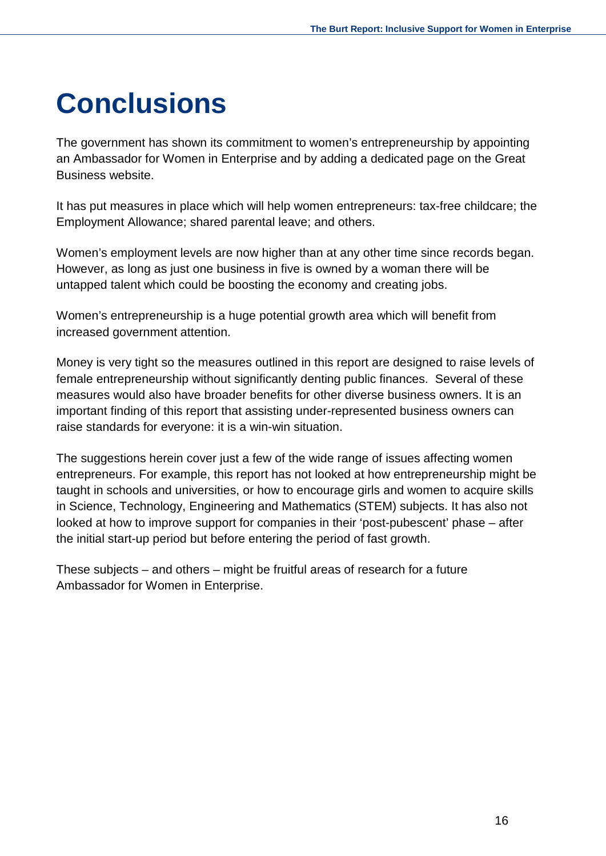### <span id="page-15-0"></span>**Conclusions**

The government has shown its commitment to women's entrepreneurship by appointing an Ambassador for Women in Enterprise and by adding a dedicated page on the Great Business website.

It has put measures in place which will help women entrepreneurs: tax-free childcare; the Employment Allowance; shared parental leave; and others.

Women's employment levels are now higher than at any other time since records began. However, as long as just one business in five is owned by a woman there will be untapped talent which could be boosting the economy and creating jobs.

Women's entrepreneurship is a huge potential growth area which will benefit from increased government attention.

Money is very tight so the measures outlined in this report are designed to raise levels of female entrepreneurship without significantly denting public finances. Several of these measures would also have broader benefits for other diverse business owners. It is an important finding of this report that assisting under-represented business owners can raise standards for everyone: it is a win-win situation.

The suggestions herein cover just a few of the wide range of issues affecting women entrepreneurs. For example, this report has not looked at how entrepreneurship might be taught in schools and universities, or how to encourage girls and women to acquire skills in Science, Technology, Engineering and Mathematics (STEM) subjects. It has also not looked at how to improve support for companies in their 'post-pubescent' phase – after the initial start-up period but before entering the period of fast growth.

These subjects – and others – might be fruitful areas of research for a future Ambassador for Women in Enterprise.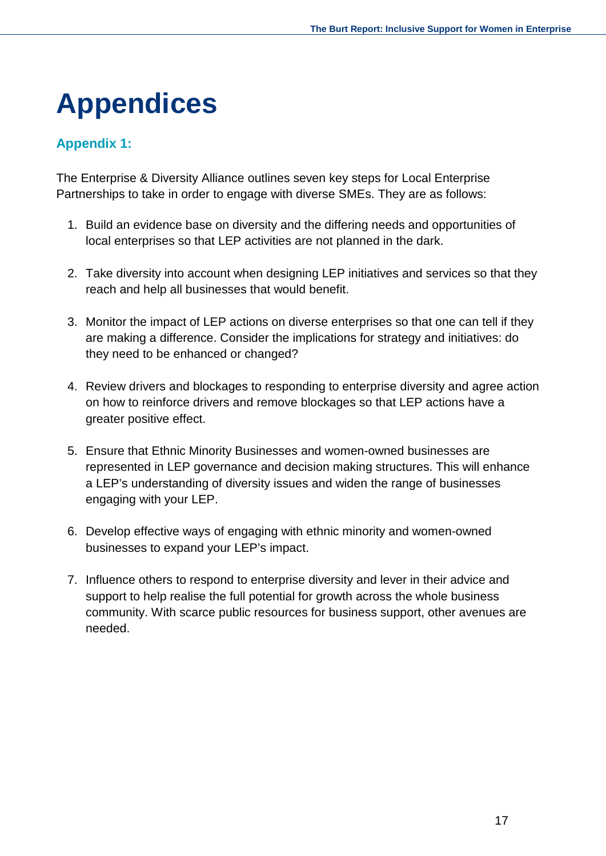# <span id="page-16-0"></span>**Appendices**

### <span id="page-16-1"></span>**Appendix 1:**

The Enterprise & Diversity Alliance outlines seven key steps for Local Enterprise Partnerships to take in order to engage with diverse SMEs. They are as follows:

- 1. Build an evidence base on diversity and the differing needs and opportunities of local enterprises so that LEP activities are not planned in the dark.
- 2. Take diversity into account when designing LEP initiatives and services so that they reach and help all businesses that would benefit.
- 3. Monitor the impact of LEP actions on diverse enterprises so that one can tell if they are making a difference. Consider the implications for strategy and initiatives: do they need to be enhanced or changed?
- 4. Review drivers and blockages to responding to enterprise diversity and agree action on how to reinforce drivers and remove blockages so that LEP actions have a greater positive effect.
- 5. Ensure that Ethnic Minority Businesses and women-owned businesses are represented in LEP governance and decision making structures. This will enhance a LEP's understanding of diversity issues and widen the range of businesses engaging with your LEP.
- 6. Develop effective ways of engaging with ethnic minority and women-owned businesses to expand your LEP's impact.
- 7. Influence others to respond to enterprise diversity and lever in their advice and support to help realise the full potential for growth across the whole business community. With scarce public resources for business support, other avenues are needed.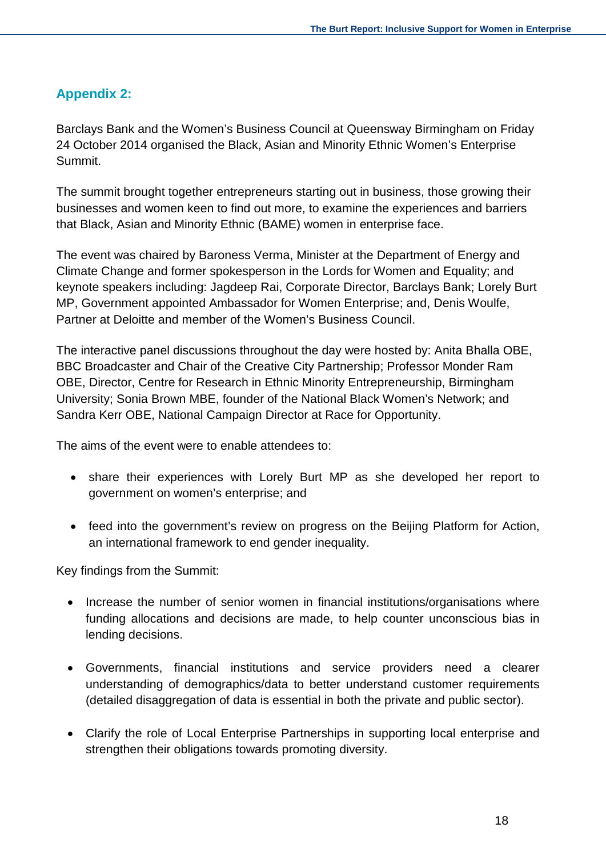### <span id="page-17-0"></span>**Appendix 2:**

Barclays Bank and the Women's Business Council at Queensway Birmingham on Friday 24 October 2014 organised the Black, Asian and Minority Ethnic Women's Enterprise Summit.

The summit brought together entrepreneurs starting out in business, those growing their businesses and women keen to find out more, to examine the experiences and barriers that Black, Asian and Minority Ethnic (BAME) women in enterprise face.

The event was chaired by Baroness Verma, Minister at the Department of Energy and Climate Change and former spokesperson in the Lords for Women and Equality; and keynote speakers including: Jagdeep Rai, Corporate Director, Barclays Bank; Lorely Burt MP, Government appointed Ambassador for Women Enterprise; and, Denis Woulfe, Partner at Deloitte and member of the Women's Business Council.

The interactive panel discussions throughout the day were hosted by: Anita Bhalla OBE, BBC Broadcaster and Chair of the Creative City Partnership; Professor Monder Ram OBE, Director, Centre for Research in Ethnic Minority Entrepreneurship, Birmingham University; Sonia Brown MBE, founder of the National Black Women's Network; and Sandra Kerr OBE, National Campaign Director at Race for Opportunity.

The aims of the event were to enable attendees to:

- share their experiences with Lorely Burt MP as she developed her report to government on women's enterprise; and
- feed into the government's review on progress on the Beijing Platform for Action, an international framework to end gender inequality.

Key findings from the Summit:

- Increase the number of senior women in financial institutions/organisations where funding allocations and decisions are made, to help counter unconscious bias in lending decisions.
- Governments, financial institutions and service providers need a clearer understanding of demographics/data to better understand customer requirements (detailed disaggregation of data is essential in both the private and public sector).
- Clarify the role of Local Enterprise Partnerships in supporting local enterprise and strengthen their obligations towards promoting diversity.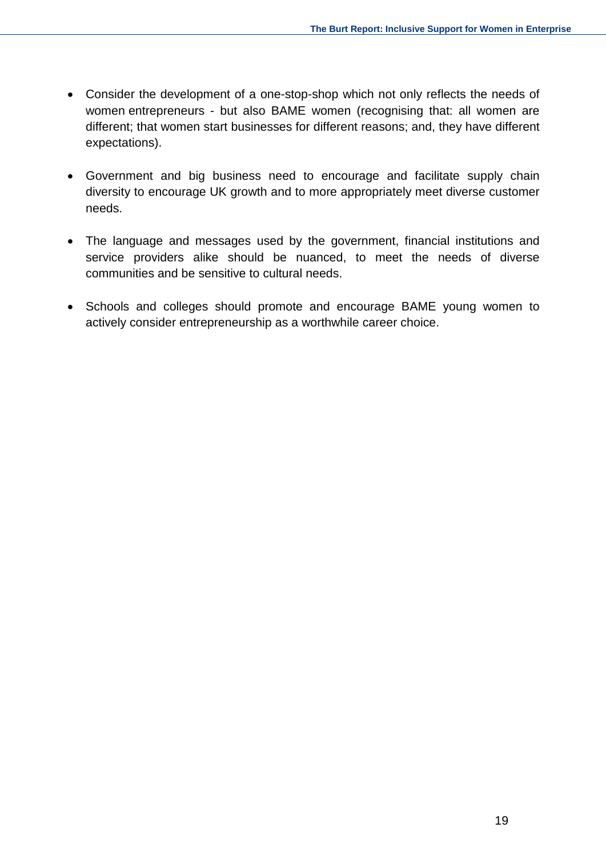- Consider the development of a one-stop-shop which not only reflects the needs of women entrepreneurs - but also BAME women (recognising that: all women are different; that women start businesses for different reasons; and, they have different expectations).
- Government and big business need to encourage and facilitate supply chain diversity to encourage UK growth and to more appropriately meet diverse customer needs.
- The language and messages used by the government, financial institutions and service providers alike should be nuanced, to meet the needs of diverse communities and be sensitive to cultural needs.
- Schools and colleges should promote and encourage BAME young women to actively consider entrepreneurship as a worthwhile career choice.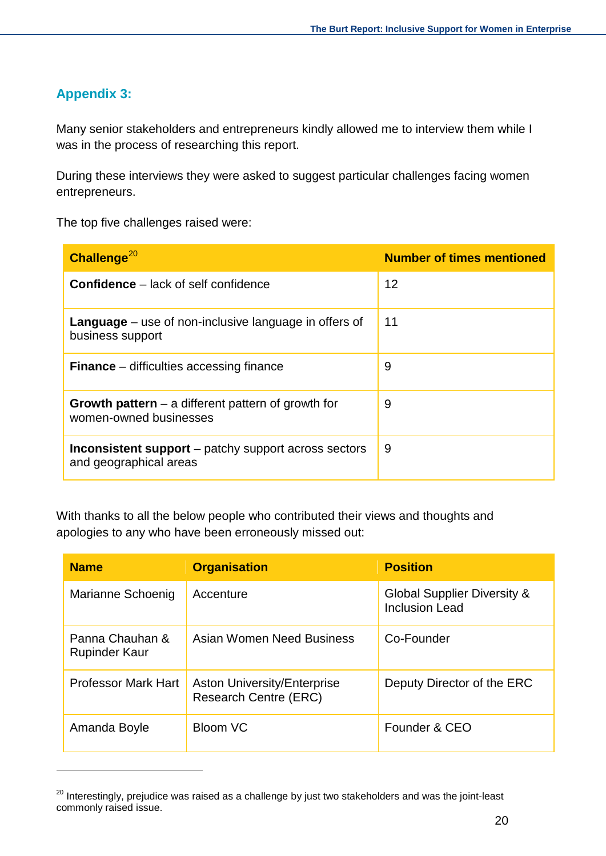### <span id="page-19-0"></span>**Appendix 3:**

Many senior stakeholders and entrepreneurs kindly allowed me to interview them while I was in the process of researching this report.

During these interviews they were asked to suggest particular challenges facing women entrepreneurs.

The top five challenges raised were:

| Challenge $^{20}$                                                                     | <b>Number of times mentioned</b> |
|---------------------------------------------------------------------------------------|----------------------------------|
| <b>Confidence</b> – lack of self confidence                                           | 12                               |
| <b>Language</b> $-$ use of non-inclusive language in offers of<br>business support    | 11                               |
| <b>Finance</b> – difficulties accessing finance                                       | 9                                |
| Growth pattern $-$ a different pattern of growth for<br>women-owned businesses        | 9                                |
| <b>Inconsistent support</b> – patchy support across sectors<br>and geographical areas | 9                                |

With thanks to all the below people who contributed their views and thoughts and apologies to any who have been erroneously missed out:

| <b>Name</b>                             | <b>Organisation</b>                                         | <b>Position</b>                                                 |
|-----------------------------------------|-------------------------------------------------------------|-----------------------------------------------------------------|
| Marianne Schoenig                       | Accenture                                                   | <b>Global Supplier Diversity &amp;</b><br><b>Inclusion Lead</b> |
| Panna Chauhan &<br><b>Rupinder Kaur</b> | Asian Women Need Business                                   | Co-Founder                                                      |
| <b>Professor Mark Hart</b>              | <b>Aston University/Enterprise</b><br>Research Centre (ERC) | Deputy Director of the ERC                                      |
| Amanda Boyle                            | <b>Bloom VC</b>                                             | Founder & CEO                                                   |

<span id="page-19-1"></span><sup>&</sup>lt;sup>20</sup> Interestingly, prejudice was raised as a challenge by just two stakeholders and was the joint-least commonly raised issue.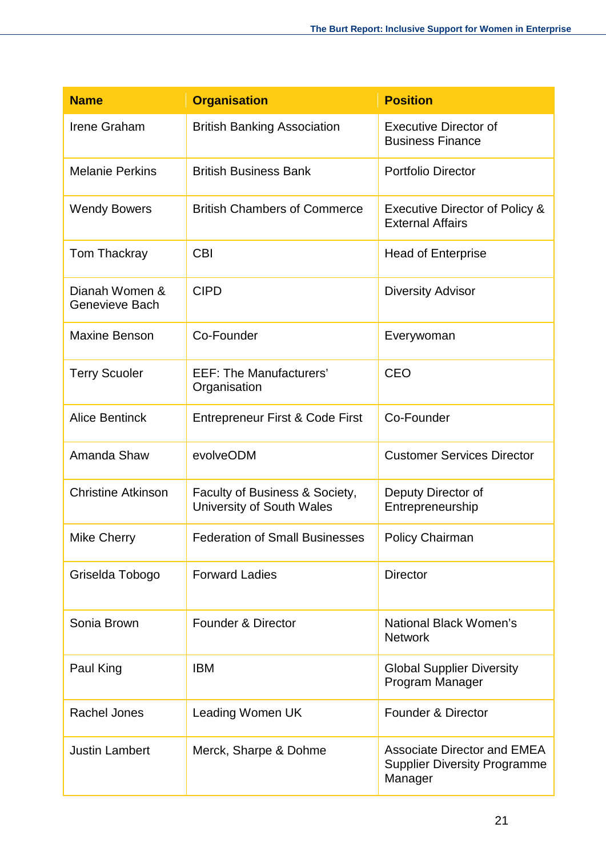| <b>Name</b>                      | <b>Organisation</b>                                         | <b>Position</b>                                                                      |
|----------------------------------|-------------------------------------------------------------|--------------------------------------------------------------------------------------|
| Irene Graham                     | <b>British Banking Association</b>                          | <b>Executive Director of</b><br><b>Business Finance</b>                              |
| <b>Melanie Perkins</b>           | <b>British Business Bank</b>                                | <b>Portfolio Director</b>                                                            |
| <b>Wendy Bowers</b>              | <b>British Chambers of Commerce</b>                         | <b>Executive Director of Policy &amp;</b><br><b>External Affairs</b>                 |
| Tom Thackray                     | <b>CBI</b>                                                  | <b>Head of Enterprise</b>                                                            |
| Dianah Women &<br>Genevieve Bach | <b>CIPD</b>                                                 | <b>Diversity Advisor</b>                                                             |
| <b>Maxine Benson</b>             | Co-Founder                                                  | Everywoman                                                                           |
| <b>Terry Scuoler</b>             | <b>EEF: The Manufacturers'</b><br>Organisation              | CEO                                                                                  |
| <b>Alice Bentinck</b>            | Entrepreneur First & Code First                             | Co-Founder                                                                           |
| Amanda Shaw                      | evolveODM                                                   | <b>Customer Services Director</b>                                                    |
| <b>Christine Atkinson</b>        | Faculty of Business & Society,<br>University of South Wales | Deputy Director of<br>Entrepreneurship                                               |
| <b>Mike Cherry</b>               | <b>Federation of Small Businesses</b>                       | <b>Policy Chairman</b>                                                               |
| Griselda Tobogo                  | <b>Forward Ladies</b>                                       | <b>Director</b>                                                                      |
| Sonia Brown                      | <b>Founder &amp; Director</b>                               | National Black Women's<br><b>Network</b>                                             |
| Paul King                        | <b>IBM</b>                                                  | <b>Global Supplier Diversity</b><br>Program Manager                                  |
| <b>Rachel Jones</b>              | Leading Women UK                                            | <b>Founder &amp; Director</b>                                                        |
| <b>Justin Lambert</b>            | Merck, Sharpe & Dohme                                       | <b>Associate Director and EMEA</b><br><b>Supplier Diversity Programme</b><br>Manager |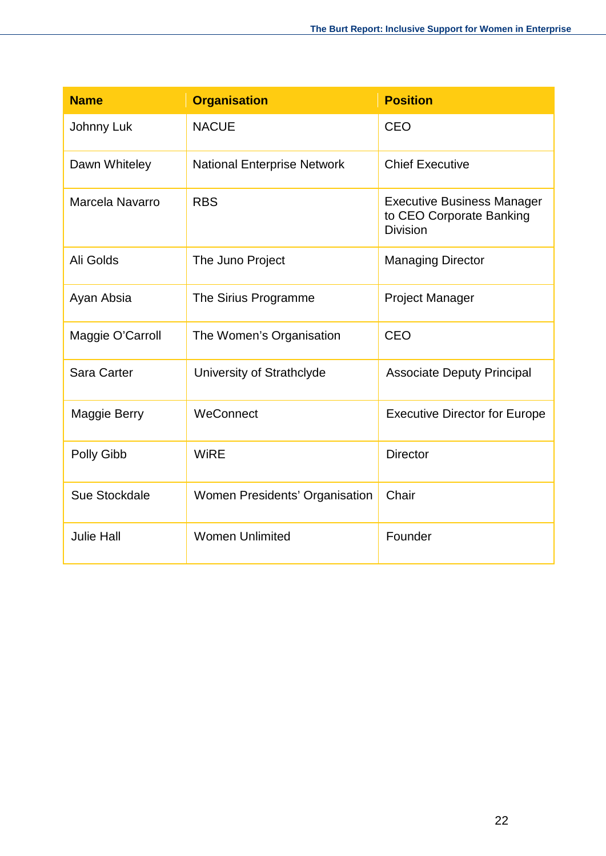| <b>Name</b>        | <b>Organisation</b>                | <b>Position</b>                                                                  |
|--------------------|------------------------------------|----------------------------------------------------------------------------------|
| Johnny Luk         | <b>NACUE</b>                       | CEO                                                                              |
| Dawn Whiteley      | <b>National Enterprise Network</b> | <b>Chief Executive</b>                                                           |
| Marcela Navarro    | <b>RBS</b>                         | <b>Executive Business Manager</b><br>to CEO Corporate Banking<br><b>Division</b> |
| Ali Golds          | The Juno Project                   | <b>Managing Director</b>                                                         |
| Ayan Absia         | The Sirius Programme               | <b>Project Manager</b>                                                           |
| Maggie O'Carroll   | The Women's Organisation           | CEO                                                                              |
| <b>Sara Carter</b> | University of Strathclyde          | <b>Associate Deputy Principal</b>                                                |
| Maggie Berry       | WeConnect                          | <b>Executive Director for Europe</b>                                             |
| Polly Gibb         | <b>WiRE</b>                        | <b>Director</b>                                                                  |
| Sue Stockdale      | Women Presidents' Organisation     | Chair                                                                            |
| <b>Julie Hall</b>  | <b>Women Unlimited</b>             | Founder                                                                          |